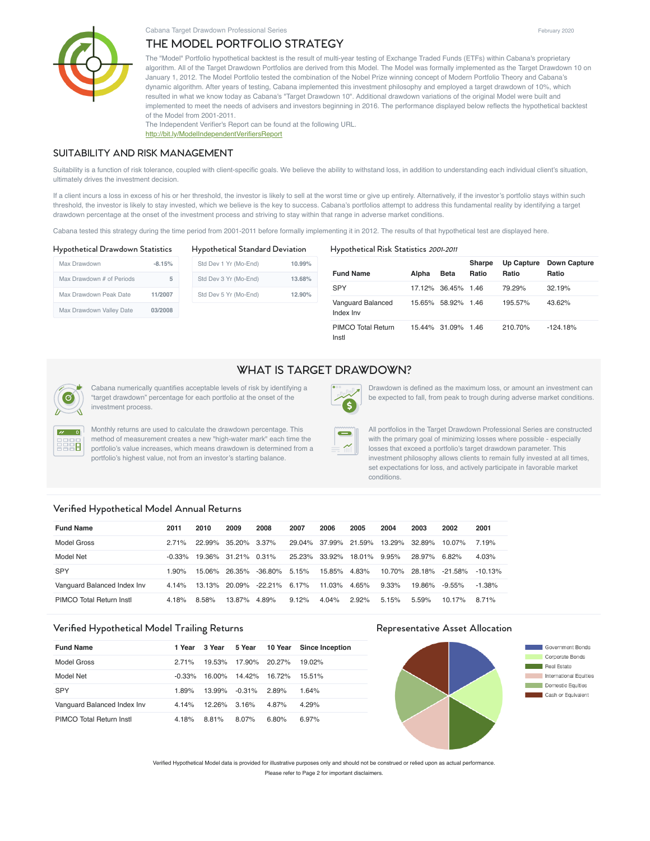# THE MODEL PORTFOLIO STRATEGY



The "Model" Portfolio hypothetical backtest is the result of multi-year testing of Exchange Traded Funds (ETFs) within Cabana's proprietary algorithm. All of the Target Drawdown Portfolios are derived from this Model. The Model was formally implemented as the Target Drawdown 10 on January 1, 2012. The Model Portfolio tested the combination of the Nobel Prize winning concept of Modern Portfolio Theory and Cabana's dynamic algorithm. After years of testing, Cabana implemented this investment philosophy and employed a target drawdown of 10%, which resulted in what we know today as Cabana's "Target Drawdown 10". Additional drawdown variations of the original Model were built and implemented to meet the needs of advisers and investors beginning in 2016. The performance displayed below reflects the hypothetical backtest of the Model from 2001-2011.

The Independent Verifier's Report can be found at the following URL. http://bit.ly/ModelIndependentVerifiersReport

### SUITABILITY AND RISK MANAGEMENT

Suitability is a function of risk tolerance, coupled with client-specific goals. We believe the ability to withstand loss, in addition to understanding each individual client's situation, ultimately drives the investment decision.

If a client incurs a loss in excess of his or her threshold, the investor is likely to sell at the worst time or give up entirely. Alternatively, if the investor's portfolio stays within such threshold, the investor is likely to stay invested, which we believe is the key to success. Cabana's portfolios attempt to address this fundamental reality by identifying a target drawdown percentage at the onset of the investment process and striving to stay within that range in adverse market conditions.

Cabana tested this strategy during the time period from 2001-2011 before formally implementing it in 2012. The results of that hypothetical test are displayed here.

| <b>Hypothetical Drawdown Statistics</b> |          | <b>Hypothetical Standard Deviation</b> | Hypothetical Risk Statistics 2001-2011 |                                |       |                    |                 |                     |                              |
|-----------------------------------------|----------|----------------------------------------|----------------------------------------|--------------------------------|-------|--------------------|-----------------|---------------------|------------------------------|
| Max Drawdown                            | $-8.15%$ | Std Dev 1 Yr (Mo-End)                  | 10.99%                                 | <b>Fund Name</b>               | Alpha | Beta               | Sharpe<br>Ratio | Up Capture<br>Ratio | <b>Down Capture</b><br>Ratio |
| Max Drawdown # of Periods               | 5        | Std Dev 3 Yr (Mo-End)                  | 13.68%<br>12.90%                       |                                |       |                    |                 |                     |                              |
|                                         |          |                                        |                                        | <b>SPY</b>                     |       | 17.12% 36.45% 1.46 |                 | 79.29%              | 32.19%                       |
| Max Drawdown Peak Date                  | 11/2007  | Std Dev 5 Yr (Mo-End)                  |                                        |                                |       |                    |                 |                     |                              |
| Max Drawdown Valley Date                | 03/2008  |                                        |                                        | Vanguard Balanced<br>Index Inv |       | 15.65% 58.92% 1.46 |                 | 195.57%             | 43.62%                       |
|                                         |          |                                        |                                        | PIMCO Total Return             |       | 15 44% 31 09% 1 46 |                 | 210 70%             | $-124.18\%$                  |

PIMCO Total Return Instl 15.44% 31.09% 1.46 210.70% -124.18%

# WHAT IS TARGET DRAWDOWN?



 $\mathbf{z} = 0$ 880 Cabana numerically quantifies acceptable levels of risk by identifying a "target drawdown" percentage for each portfolio at the onset of the investment process.

Monthly returns are used to calculate the drawdown percentage. This method of measurement creates a new "high-water mark" each time the portfolio's value increases, which means drawdown is determined from a portfolio's highest value, not from an investor's starting balance.

Drawdown is defined as the maximum loss, or amount an investment can be expected to fall, from peak to trough during adverse market conditions.

All portfolios in the Target Drawdown Professional Series are constructed with the primary goal of minimizing losses where possible - especially losses that exceed a portfolio's target drawdown parameter. This investment philosophy allows clients to remain fully invested at all times, set expectations for loss, and actively participate in favorable market conditions.

### Verified Hypothetical Model Annual Returns

| <b>Fund Name</b>            | 2011      | 2010   | 2009                | 2008       | 2007          | 2006   | 2005     | 2004     | 2003         | 2002       | 2001      |
|-----------------------------|-----------|--------|---------------------|------------|---------------|--------|----------|----------|--------------|------------|-----------|
| Model Gross                 | 271%      | 22.99% | 35.20% 3.37%        |            | 29.04% 37.99% |        | 21.59%   | 13.29%   | 32.89%       | 10.07%     | 7.19%     |
| Model Net                   | $-0.33\%$ |        | 19.36% 31.21% 0.31% |            | 25.23% 33.92% |        | 18.01%   | 9.95%    | 28.97% 6.82% |            | 4.03%     |
| SPY                         | 1 90%     | 15 06% | 26.35%              | $-36.80\%$ | 5.15%         | 15.85% | 4.83%    | 10.70%   | 28.18%       | $-21.58\%$ | $-10.13%$ |
| Vanguard Balanced Index Inv | 4.14%     | 13.13% | 20.09%              | $-22.21\%$ | 6.17%         | 11.03% | 4.65%    | $9.33\%$ | 19.86%       | $-9.55\%$  | $-1.38%$  |
| PIMCO Total Return Instl    | 4.18%     | 8.58%  | 13.87%              | 4.89%      | $9.12\%$      | 4.04%  | $2.92\%$ | 5.15%    | 5.59%        | 10.17%     | 8.71%     |

## Verified Hypothetical Model Trailing Returns **Representative Asset Allocation**

| <b>Fund Name</b>            | 1 Year   | 3 Year | 5 Year        | 10 Year | <b>Since Inception</b> |
|-----------------------------|----------|--------|---------------|---------|------------------------|
| Model Gross                 | 271%     | 19.53% | 17.90% 20.27% |         | 19.02%                 |
| Model Net                   | $-0.33%$ | 16.00% | 14 42%        | 16.72%  | 15.51%                 |
| <b>SPY</b>                  | 1.89%    | 13.99% | $-0.31\%$     | 2.89%   | 1.64%                  |
| Vanguard Balanced Index Inv | 4.14%    | 12.26% | 3.16%         | 4.87%   | 4.29%                  |
| PIMCO Total Return Instl    | 4.18%    | 8.81%  | 8.07%         | 6.80%   | 6.97%                  |



Verified Hypothetical Model data is provided for illustrative purposes only and should not be construed or relied upon as actual performance. Please refer to Page 2 for important disclaimers.